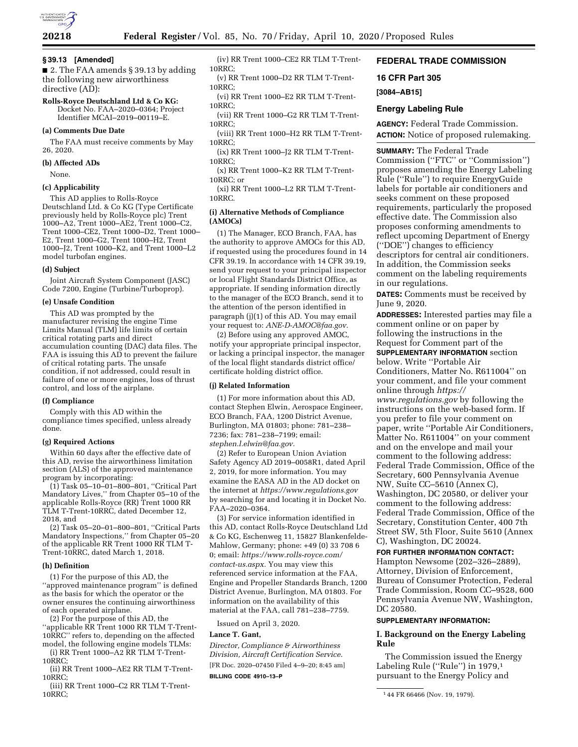

## **§ 39.13 [Amended]**

■ 2. The FAA amends § 39.13 by adding the following new airworthiness directive (AD):

**Rolls-Royce Deutschland Ltd & Co KG:**  Docket No. FAA–2020–0364; Project Identifier MCAI–2019–00119–E.

### **(a) Comments Due Date**

The FAA must receive comments by May 26, 2020.

### **(b) Affected ADs**

None.

#### **(c) Applicability**

This AD applies to Rolls-Royce Deutschland Ltd. & Co KG (Type Certificate previously held by Rolls-Royce plc) Trent 1000–A2, Trent 1000–AE2, Trent 1000–C2, Trent 1000–CE2, Trent 1000–D2, Trent 1000– E2, Trent 1000–G2, Trent 1000–H2, Trent 1000–J2, Trent 1000–K2, and Trent 1000–L2 model turbofan engines.

#### **(d) Subject**

Joint Aircraft System Component (JASC) Code 7200, Engine (Turbine/Turboprop).

#### **(e) Unsafe Condition**

This AD was prompted by the manufacturer revising the engine Time Limits Manual (TLM) life limits of certain critical rotating parts and direct accumulation counting (DAC) data files. The FAA is issuing this AD to prevent the failure of critical rotating parts. The unsafe condition, if not addressed, could result in failure of one or more engines, loss of thrust control, and loss of the airplane.

#### **(f) Compliance**

Comply with this AD within the compliance times specified, unless already done.

#### **(g) Required Actions**

Within 60 days after the effective date of this AD, revise the airworthiness limitation section (ALS) of the approved maintenance program by incorporating:

(1) Task 05–10–01–800–801, ''Critical Part Mandatory Lives,'' from Chapter 05–10 of the applicable Rolls-Royce (RR) Trent 1000 RR TLM T-Trent-10RRC, dated December 12, 2018, and

(2) Task 05–20–01–800–801, ''Critical Parts Mandatory Inspections,'' from Chapter 05–20 of the applicable RR Trent 1000 RR TLM T-Trent-10RRC, dated March 1, 2018.

## **(h) Definition**

(1) For the purpose of this AD, the "approved maintenance program" is defined as the basis for which the operator or the owner ensures the continuing airworthiness of each operated airplane.

(2) For the purpose of this AD, the ''applicable RR Trent 1000 RR TLM T-Trent-10RRC'' refers to, depending on the affected model, the following engine models TLMs:

(i) RR Trent 1000–A2 RR TLM T-Trent-10RRC;

(ii) RR Trent 1000–AE2 RR TLM T-Trent-10RRC;

(iii) RR Trent 1000–C2 RR TLM T-Trent-10RRC;

(iv) RR Trent 1000–CE2 RR TLM T-Trent-10RRC;

(v) RR Trent 1000–D2 RR TLM T-Trent-10RRC;

(vi) RR Trent 1000–E2 RR TLM T-Trent-10RRC;

(vii) RR Trent 1000–G2 RR TLM T-Trent-10RRC;

(viii) RR Trent 1000–H2 RR TLM T-Trent-10RRC;

(ix) RR Trent 1000–J2 RR TLM T-Trent-10RRC;

(x) RR Trent 1000–K2 RR TLM T-Trent-10RRC; or

(xi) RR Trent 1000–L2 RR TLM T-Trent-10RRC.

#### **(i) Alternative Methods of Compliance (AMOCs)**

(1) The Manager, ECO Branch, FAA, has the authority to approve AMOCs for this AD, if requested using the procedures found in 14 CFR 39.19. In accordance with 14 CFR 39.19, send your request to your principal inspector or local Flight Standards District Office, as appropriate. If sending information directly to the manager of the ECO Branch, send it to the attention of the person identified in paragraph (j)(1) of this AD. You may email your request to: *[ANE-D-AMOC@faa.gov.](mailto:ANE-D-AMOC@faa.gov)* 

(2) Before using any approved AMOC, notify your appropriate principal inspector, or lacking a principal inspector, the manager of the local flight standards district office/ certificate holding district office.

#### **(j) Related Information**

(1) For more information about this AD, contact Stephen Elwin, Aerospace Engineer, ECO Branch, FAA, 1200 District Avenue, Burlington, MA 01803; phone: 781–238– 7236; fax: 781–238–7199; email: *[stephen.l.elwin@faa.gov.](mailto:stephen.l.elwin@faa.gov)* 

(2) Refer to European Union Aviation Safety Agency AD 2019–0058R1, dated April 2, 2019, for more information. You may examine the EASA AD in the AD docket on the internet at *<https://www.regulations.gov>*  by searching for and locating it in Docket No. FAA–2020–0364.

(3) For service information identified in this AD, contact Rolls-Royce Deutschland Ltd & Co KG, Eschenweg 11, 15827 Blankenfelde-Mahlow, Germany; phone: +49 (0) 33 708 6 0; email: *[https://www.rolls-royce.com/](https://www.rolls-royce.com/contact-us.aspx)  [contact-us.aspx.](https://www.rolls-royce.com/contact-us.aspx)* You may view this referenced service information at the FAA, Engine and Propeller Standards Branch, 1200 District Avenue, Burlington, MA 01803. For information on the availability of this material at the FAA, call 781–238–7759.

Issued on April 3, 2020.

#### **Lance T. Gant,**

*Director, Compliance & Airworthiness Division, Aircraft Certification Service.*  [FR Doc. 2020–07450 Filed 4–9–20; 8:45 am] **BILLING CODE 4910–13–P** 

# **FEDERAL TRADE COMMISSION**

**16 CFR Part 305** 

### **[3084–AB15]**

## **Energy Labeling Rule**

**AGENCY:** Federal Trade Commission. **ACTION:** Notice of proposed rulemaking.

**SUMMARY:** The Federal Trade Commission (''FTC'' or ''Commission'') proposes amending the Energy Labeling Rule (''Rule'') to require EnergyGuide labels for portable air conditioners and seeks comment on these proposed requirements, particularly the proposed effective date. The Commission also proposes conforming amendments to reflect upcoming Department of Energy (''DOE'') changes to efficiency descriptors for central air conditioners. In addition, the Commission seeks comment on the labeling requirements in our regulations.

**DATES:** Comments must be received by June 9, 2020.

**ADDRESSES:** Interested parties may file a comment online or on paper by following the instructions in the Request for Comment part of the **SUPPLEMENTARY INFORMATION** section

below. Write ''Portable Air Conditioners, Matter No. R611004'' on your comment, and file your comment online through *[https://](https://www.regulations.gov) [www.regulations.gov](https://www.regulations.gov)* by following the instructions on the web-based form. If you prefer to file your comment on paper, write ''Portable Air Conditioners, Matter No. R611004'' on your comment and on the envelope and mail your comment to the following address: Federal Trade Commission, Office of the Secretary, 600 Pennsylvania Avenue NW, Suite CC–5610 (Annex C), Washington, DC 20580, or deliver your comment to the following address: Federal Trade Commission, Office of the Secretary, Constitution Center, 400 7th Street SW, 5th Floor, Suite 5610 (Annex C), Washington, DC 20024.

#### **FOR FURTHER INFORMATION CONTACT:**

Hampton Newsome (202–326–2889), Attorney, Division of Enforcement, Bureau of Consumer Protection, Federal Trade Commission, Room CC–9528, 600 Pennsylvania Avenue NW, Washington, DC 20580.

#### **SUPPLEMENTARY INFORMATION:**

## **I. Background on the Energy Labeling Rule**

The Commission issued the Energy Labeling Rule ("Rule") in 1979,<sup>1</sup> pursuant to the Energy Policy and

<sup>1</sup> 44 FR 66466 (Nov. 19, 1979).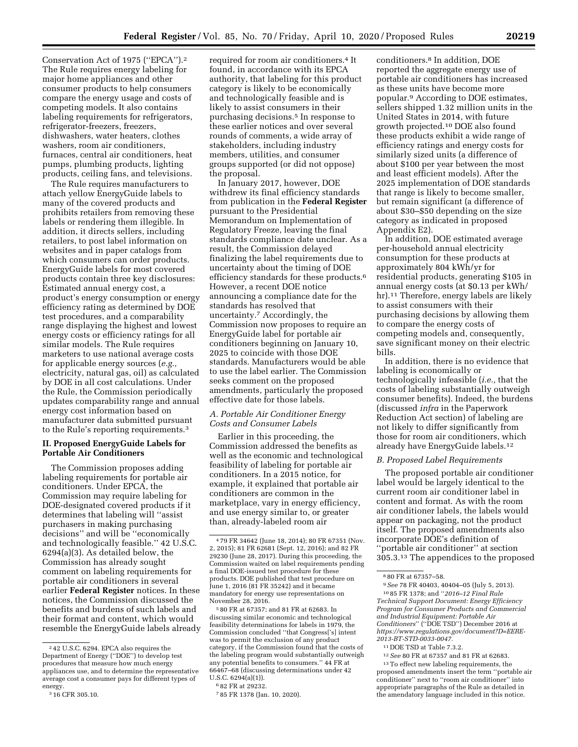Conservation Act of 1975 (''EPCA'').2 The Rule requires energy labeling for major home appliances and other consumer products to help consumers compare the energy usage and costs of competing models. It also contains labeling requirements for refrigerators, refrigerator-freezers, freezers, dishwashers, water heaters, clothes washers, room air conditioners, furnaces, central air conditioners, heat pumps, plumbing products, lighting products, ceiling fans, and televisions.

The Rule requires manufacturers to attach yellow EnergyGuide labels to many of the covered products and prohibits retailers from removing these labels or rendering them illegible. In addition, it directs sellers, including retailers, to post label information on websites and in paper catalogs from which consumers can order products. EnergyGuide labels for most covered products contain three key disclosures: Estimated annual energy cost, a product's energy consumption or energy efficiency rating as determined by DOE test procedures, and a comparability range displaying the highest and lowest energy costs or efficiency ratings for all similar models. The Rule requires marketers to use national average costs for applicable energy sources (*e.g.,*  electricity, natural gas, oil) as calculated by DOE in all cost calculations. Under the Rule, the Commission periodically updates comparability range and annual energy cost information based on manufacturer data submitted pursuant to the Rule's reporting requirements.3

## **II. Proposed EnergyGuide Labels for Portable Air Conditioners**

The Commission proposes adding labeling requirements for portable air conditioners. Under EPCA, the Commission may require labeling for DOE-designated covered products if it determines that labeling will ''assist purchasers in making purchasing decisions'' and will be ''economically and technologically feasible.'' 42 U.S.C. 6294(a)(3). As detailed below, the Commission has already sought comment on labeling requirements for portable air conditioners in several earlier **Federal Register** notices. In these notices, the Commission discussed the benefits and burdens of such labels and their format and content, which would resemble the EnergyGuide labels already

required for room air conditioners.4 It found, in accordance with its EPCA authority, that labeling for this product category is likely to be economically and technologically feasible and is likely to assist consumers in their purchasing decisions.5 In response to these earlier notices and over several rounds of comments, a wide array of stakeholders, including industry members, utilities, and consumer groups supported (or did not oppose) the proposal.

In January 2017, however, DOE withdrew its final efficiency standards from publication in the **Federal Register**  pursuant to the Presidential Memorandum on Implementation of Regulatory Freeze, leaving the final standards compliance date unclear. As a result, the Commission delayed finalizing the label requirements due to uncertainty about the timing of DOE efficiency standards for these products.6 However, a recent DOE notice announcing a compliance date for the standards has resolved that uncertainty.7 Accordingly, the Commission now proposes to require an EnergyGuide label for portable air conditioners beginning on January 10, 2025 to coincide with those DOE standards. Manufacturers would be able to use the label earlier. The Commission seeks comment on the proposed amendments, particularly the proposed effective date for those labels.

# *A. Portable Air Conditioner Energy Costs and Consumer Labels*

Earlier in this proceeding, the Commission addressed the benefits as well as the economic and technological feasibility of labeling for portable air conditioners. In a 2015 notice, for example, it explained that portable air conditioners are common in the marketplace, vary in energy efficiency, and use energy similar to, or greater than, already-labeled room air

5 80 FR at 67357; and 81 FR at 62683. In discussing similar economic and technological feasibility determinations for labels in 1979, the Commission concluded ''that Congress['s] intent was to permit the exclusion of any product category, if the Commission found that the costs of the labeling program would substantially outweigh any potential benefits to consumers.'' 44 FR at 66467–68 (discussing determinations under 42 U.S.C. 6294(a)(1)).

conditioners.8 In addition, DOE reported the aggregate energy use of portable air conditioners has increased as these units have become more popular.9 According to DOE estimates, sellers shipped 1.32 million units in the United States in 2014, with future growth projected.10 DOE also found these products exhibit a wide range of efficiency ratings and energy costs for similarly sized units (a difference of about \$100 per year between the most and least efficient models). After the 2025 implementation of DOE standards that range is likely to become smaller, but remain significant (a difference of about \$30–\$50 depending on the size category as indicated in proposed Appendix E2).

In addition, DOE estimated average per-household annual electricity consumption for these products at approximately 804 kWh/yr for residential products, generating \$105 in annual energy costs (at \$0.13 per kWh/ hr).<sup>11</sup> Therefore, energy labels are likely to assist consumers with their purchasing decisions by allowing them to compare the energy costs of competing models and, consequently, save significant money on their electric bills.

In addition, there is no evidence that labeling is economically or technologically infeasible (*i.e.,* that the costs of labeling substantially outweigh consumer benefits). Indeed, the burdens (discussed *infra* in the Paperwork Reduction Act section) of labeling are not likely to differ significantly from those for room air conditioners, which already have EnergyGuide labels.12

### *B. Proposed Label Requirements*

The proposed portable air conditioner label would be largely identical to the current room air conditioner label in content and format. As with the room air conditioner labels, the labels would appear on packaging, not the product itself. The proposed amendments also incorporate DOE's definition of ''portable air conditioner'' at section 305.3.13 The appendices to the proposed

10 85 FR 1378; and ''*2016–12 Final Rule Technical Support Document: Energy Efficiency Program for Consumer Products and Commercial and Industrial Equipment: Portable Air Conditioners*'' (''DOE TSD'') December 2016 at *[https://www.regulations.gov/document?D=EERE-](https://www.regulations.gov/document?D=EERE-2013-BT-STD-0033-0047)[2013-BT-STD-0033-0047.](https://www.regulations.gov/document?D=EERE-2013-BT-STD-0033-0047)* 

12*See* 80 FR at 67357 and 81 FR at 62683.

13To effect new labeling requirements, the proposed amendments insert the term ''portable air conditioner'' next to ''room air conditioner'' into appropriate paragraphs of the Rule as detailed in the amendatory language included in this notice.

<sup>2</sup> 42 U.S.C. 6294. EPCA also requires the Department of Energy (''DOE'') to develop test procedures that measure how much energy appliances use, and to determine the representative average cost a consumer pays for different types of energy.

<sup>&</sup>lt;sup>3</sup> 16 CFR 305.10.

<sup>4</sup> 79 FR 34642 (June 18, 2014); 80 FR 67351 (Nov. 2, 2015); 81 FR 62681 (Sept. 12, 2016); and 82 FR 29230 (June 28, 2017). During this proceeding, the Commission waited on label requirements pending a final DOE-issued test procedure for these products. DOE published that test procedure on June 1, 2016 (81 FR 35242) and it became mandatory for energy use representations on November 28, 2016.

<sup>6</sup> 82 FR at 29232.

<sup>7</sup> 85 FR 1378 (Jan. 10, 2020).

<sup>8</sup> 80 FR at 67357–58.

<sup>9</sup>*See* 78 FR 40403, 40404–05 (July 5, 2013).

<sup>11</sup> DOE TSD at Table 7.3.2.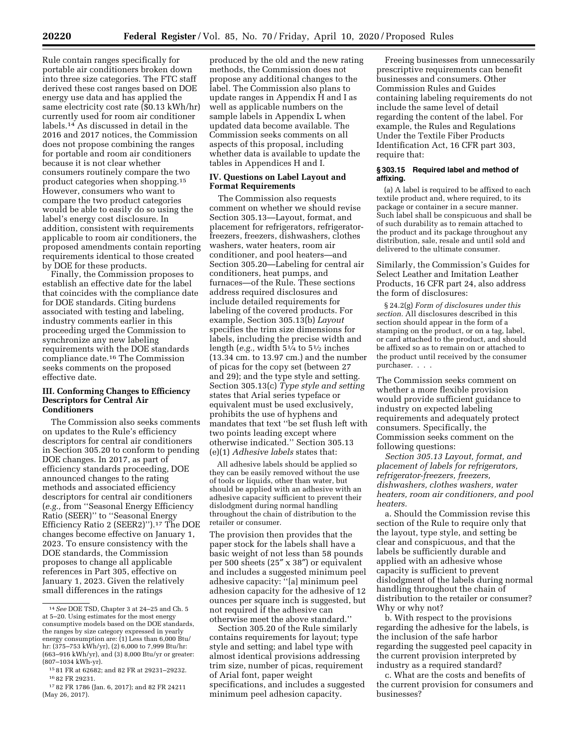Rule contain ranges specifically for portable air conditioners broken down into three size categories. The FTC staff derived these cost ranges based on DOE energy use data and has applied the same electricity cost rate (\$0.13 kWh/hr) currently used for room air conditioner labels.14 As discussed in detail in the 2016 and 2017 notices, the Commission does not propose combining the ranges for portable and room air conditioners because it is not clear whether consumers routinely compare the two product categories when shopping.15 However, consumers who want to compare the two product categories would be able to easily do so using the label's energy cost disclosure. In addition, consistent with requirements applicable to room air conditioners, the proposed amendments contain reporting requirements identical to those created by DOE for these products.

Finally, the Commission proposes to establish an effective date for the label that coincides with the compliance date for DOE standards. Citing burdens associated with testing and labeling, industry comments earlier in this proceeding urged the Commission to synchronize any new labeling requirements with the DOE standards compliance date.16 The Commission seeks comments on the proposed effective date.

### **III. Conforming Changes to Efficiency Descriptors for Central Air Conditioners**

The Commission also seeks comments on updates to the Rule's efficiency descriptors for central air conditioners in Section 305.20 to conform to pending DOE changes. In 2017, as part of efficiency standards proceeding, DOE announced changes to the rating methods and associated efficiency descriptors for central air conditioners (*e.g.,* from ''Seasonal Energy Efficiency Ratio (SEER)'' to ''Seasonal Energy Efficiency Ratio 2 (SEER2)'').17 The DOE changes become effective on January 1, 2023. To ensure consistency with the DOE standards, the Commission proposes to change all applicable references in Part 305, effective on January 1, 2023. Given the relatively small differences in the ratings

produced by the old and the new rating methods, the Commission does not propose any additional changes to the label. The Commission also plans to update ranges in Appendix H and I as well as applicable numbers on the sample labels in Appendix L when updated data become available. The Commission seeks comments on all aspects of this proposal, including whether data is available to update the tables in Appendices H and I.

## **IV. Questions on Label Layout and Format Requirements**

The Commission also requests comment on whether we should revise Section 305.13—Layout, format, and placement for refrigerators, refrigeratorfreezers, freezers, dishwashers, clothes washers, water heaters, room air conditioner, and pool heaters—and Section 305.20—Labeling for central air conditioners, heat pumps, and furnaces—of the Rule. These sections address required disclosures and include detailed requirements for labeling of the covered products. For example, Section 305.13(b) *Layout*  specifies the trim size dimensions for labels, including the precise width and length (*e.g.*, width  $5\frac{1}{4}$  to  $5\frac{1}{2}$  inches (13.34 cm. to 13.97 cm.) and the number of picas for the copy set (between 27 and 29); and the type style and setting. Section 305.13(c) *Type style and setting*  states that Arial series typeface or equivalent must be used exclusively, prohibits the use of hyphens and mandates that text ''be set flush left with two points leading except where otherwise indicated.'' Section 305.13 (e)(1) *Adhesive labels* states that:

All adhesive labels should be applied so they can be easily removed without the use of tools or liquids, other than water, but should be applied with an adhesive with an adhesive capacity sufficient to prevent their dislodgment during normal handling throughout the chain of distribution to the retailer or consumer.

The provision then provides that the paper stock for the labels shall have a basic weight of not less than 58 pounds per 500 sheets (25″ x 38″) or equivalent and includes a suggested minimum peel adhesive capacity: ''[a] minimum peel adhesion capacity for the adhesive of 12 ounces per square inch is suggested, but not required if the adhesive can otherwise meet the above standard.''

Section 305.20 of the Rule similarly contains requirements for layout; type style and setting; and label type with almost identical provisions addressing trim size, number of picas, requirement of Arial font, paper weight specifications, and includes a suggested minimum peel adhesion capacity.

Freeing businesses from unnecessarily prescriptive requirements can benefit businesses and consumers. Other Commission Rules and Guides containing labeling requirements do not include the same level of detail regarding the content of the label. For example, the Rules and Regulations Under the Textile Fiber Products Identification Act, 16 CFR part 303, require that:

### **§ 303.15 Required label and method of affixing.**

(a) A label is required to be affixed to each textile product and, where required, to its package or container in a secure manner. Such label shall be conspicuous and shall be of such durability as to remain attached to the product and its package throughout any distribution, sale, resale and until sold and delivered to the ultimate consumer.

Similarly, the Commission's Guides for Select Leather and Imitation Leather Products, 16 CFR part 24, also address the form of disclosures:

§ 24.2(g) *Form of disclosures under this section.* All disclosures described in this section should appear in the form of a stamping on the product, or on a tag, label, or card attached to the product, and should be affixed so as to remain on or attached to the product until received by the consumer purchaser. . . .

The Commission seeks comment on whether a more flexible provision would provide sufficient guidance to industry on expected labeling requirements and adequately protect consumers. Specifically, the Commission seeks comment on the following questions:

*Section 305.13 Layout, format, and placement of labels for refrigerators, refrigerator-freezers, freezers, dishwashers, clothes washers, water heaters, room air conditioners, and pool heaters.* 

a. Should the Commission revise this section of the Rule to require only that the layout, type style, and setting be clear and conspicuous, and that the labels be sufficiently durable and applied with an adhesive whose capacity is sufficient to prevent dislodgment of the labels during normal handling throughout the chain of distribution to the retailer or consumer? Why or why not?

b. With respect to the provisions regarding the adhesive for the labels, is the inclusion of the safe harbor regarding the suggested peel capacity in the current provision interpreted by industry as a required standard?

c. What are the costs and benefits of the current provision for consumers and businesses?

<sup>14</sup>*See* DOE TSD, Chapter 3 at 24–25 and Ch. 5 at 5–20. Using estimates for the most energy consumptive models based on the DOE standards, the ranges by size category expressed in yearly energy consumption are: (1) Less than 6,000 Btu/ hr: (375–753 kWh/yr), (2) 6,000 to 7,999 Btu/hr: (663–916 kWh/yr), and (3) 8,000 Btu/yr or greater: (807–1034 kWh-yr).

<sup>15</sup> 81 FR at 62682; and 82 FR at 29231–29232. 16 82 FR 29231.

<sup>17</sup> 82 FR 1786 (Jan. 6, 2017); and 82 FR 24211 (May 26, 2017).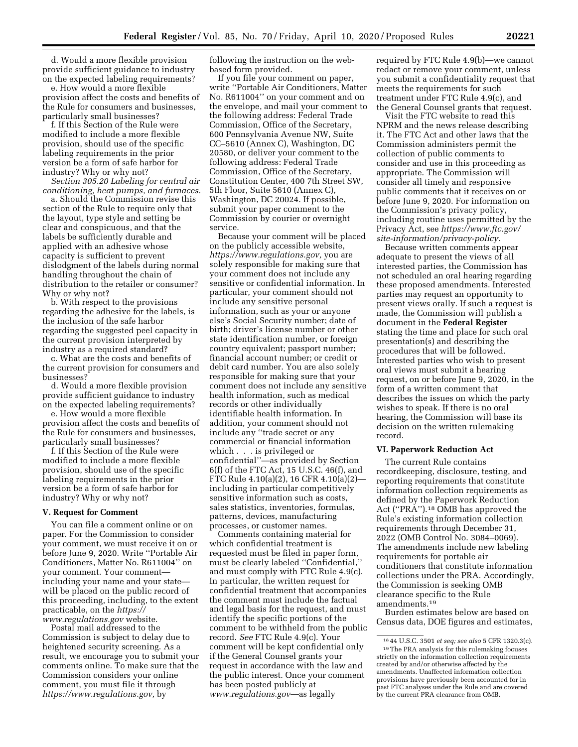d. Would a more flexible provision provide sufficient guidance to industry on the expected labeling requirements?

e. How would a more flexible provision affect the costs and benefits of the Rule for consumers and businesses, particularly small businesses?

f. If this Section of the Rule were modified to include a more flexible provision, should use of the specific labeling requirements in the prior version be a form of safe harbor for industry? Why or why not?

*Section 305.20 Labeling for central air conditioning, heat pumps, and furnaces.* 

a. Should the Commission revise this section of the Rule to require only that the layout, type style and setting be clear and conspicuous, and that the labels be sufficiently durable and applied with an adhesive whose capacity is sufficient to prevent dislodgment of the labels during normal handling throughout the chain of distribution to the retailer or consumer? Why or why not?

b. With respect to the provisions regarding the adhesive for the labels, is the inclusion of the safe harbor regarding the suggested peel capacity in the current provision interpreted by industry as a required standard?

c. What are the costs and benefits of the current provision for consumers and businesses?

d. Would a more flexible provision provide sufficient guidance to industry on the expected labeling requirements?

e. How would a more flexible provision affect the costs and benefits of the Rule for consumers and businesses, particularly small businesses?

f. If this Section of the Rule were modified to include a more flexible provision, should use of the specific labeling requirements in the prior version be a form of safe harbor for industry? Why or why not?

#### **V. Request for Comment**

You can file a comment online or on paper. For the Commission to consider your comment, we must receive it on or before June 9, 2020. Write ''Portable Air Conditioners, Matter No. R611004'' on your comment. Your comment including your name and your state will be placed on the public record of this proceeding, including, to the extent practicable, on the *[https://](https://www.regulations.gov) [www.regulations.gov](https://www.regulations.gov)* website.

Postal mail addressed to the Commission is subject to delay due to heightened security screening. As a result, we encourage you to submit your comments online. To make sure that the Commission considers your online comment, you must file it through *[https://www.regulations.gov,](https://www.regulations.gov)* by

following the instruction on the webbased form provided.

If you file your comment on paper, write ''Portable Air Conditioners, Matter No. R611004'' on your comment and on the envelope, and mail your comment to the following address: Federal Trade Commission, Office of the Secretary, 600 Pennsylvania Avenue NW, Suite CC–5610 (Annex C), Washington, DC 20580, or deliver your comment to the following address: Federal Trade Commission, Office of the Secretary, Constitution Center, 400 7th Street SW, 5th Floor, Suite 5610 (Annex C), Washington, DC 20024. If possible, submit your paper comment to the Commission by courier or overnight service.

Because your comment will be placed on the publicly accessible website, *[https://www.regulations.gov,](https://www.regulations.gov)* you are solely responsible for making sure that your comment does not include any sensitive or confidential information. In particular, your comment should not include any sensitive personal information, such as your or anyone else's Social Security number; date of birth; driver's license number or other state identification number, or foreign country equivalent; passport number; financial account number; or credit or debit card number. You are also solely responsible for making sure that your comment does not include any sensitive health information, such as medical records or other individually identifiable health information. In addition, your comment should not include any ''trade secret or any commercial or financial information which . . . is privileged or confidential''—as provided by Section 6(f) of the FTC Act, 15 U.S.C. 46(f), and FTC Rule 4.10(a)(2), 16 CFR 4.10(a)(2) including in particular competitively sensitive information such as costs, sales statistics, inventories, formulas, patterns, devices, manufacturing processes, or customer names.

Comments containing material for which confidential treatment is requested must be filed in paper form, must be clearly labeled ''Confidential,'' and must comply with FTC Rule 4.9(c). In particular, the written request for confidential treatment that accompanies the comment must include the factual and legal basis for the request, and must identify the specific portions of the comment to be withheld from the public record. *See* FTC Rule 4.9(c). Your comment will be kept confidential only if the General Counsel grants your request in accordance with the law and the public interest. Once your comment has been posted publicly at *[www.regulations.gov](http://www.regulations.gov)*—as legally

required by FTC Rule 4.9(b)—we cannot redact or remove your comment, unless you submit a confidentiality request that meets the requirements for such treatment under FTC Rule 4.9(c), and the General Counsel grants that request.

Visit the FTC website to read this NPRM and the news release describing it. The FTC Act and other laws that the Commission administers permit the collection of public comments to consider and use in this proceeding as appropriate. The Commission will consider all timely and responsive public comments that it receives on or before June 9, 2020. For information on the Commission's privacy policy, including routine uses permitted by the Privacy Act, see *[https://www.ftc.gov/](https://www.ftc.gov/site-information/privacy-policy)  [site-information/privacy-policy.](https://www.ftc.gov/site-information/privacy-policy)* 

Because written comments appear adequate to present the views of all interested parties, the Commission has not scheduled an oral hearing regarding these proposed amendments. Interested parties may request an opportunity to present views orally. If such a request is made, the Commission will publish a document in the **Federal Register**  stating the time and place for such oral presentation(s) and describing the procedures that will be followed. Interested parties who wish to present oral views must submit a hearing request, on or before June 9, 2020, in the form of a written comment that describes the issues on which the party wishes to speak. If there is no oral hearing, the Commission will base its decision on the written rulemaking record.

## **VI. Paperwork Reduction Act**

The current Rule contains recordkeeping, disclosure, testing, and reporting requirements that constitute information collection requirements as defined by the Paperwork Reduction Act (''PRA'').18 OMB has approved the Rule's existing information collection requirements through December 31, 2022 (OMB Control No. 3084–0069). The amendments include new labeling requirements for portable air conditioners that constitute information collections under the PRA. Accordingly, the Commission is seeking OMB clearance specific to the Rule amendments.19

Burden estimates below are based on Census data, DOE figures and estimates,

<sup>18</sup> 44 U.S.C. 3501 *et seq; see also* 5 CFR 1320.3(c). 19The PRA analysis for this rulemaking focuses strictly on the information collection requirements created by and/or otherwise affected by the amendments. Unaffected information collection provisions have previously been accounted for in past FTC analyses under the Rule and are covered by the current PRA clearance from OMB.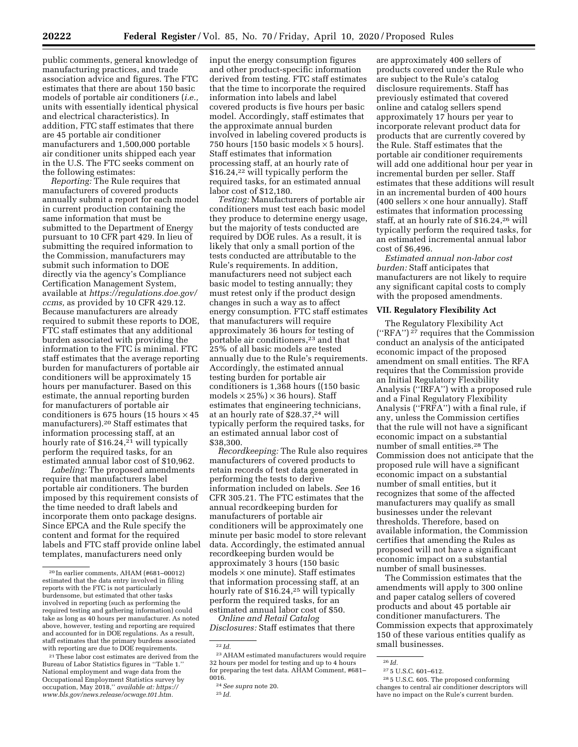public comments, general knowledge of manufacturing practices, and trade association advice and figures. The FTC estimates that there are about 150 basic models of portable air conditioners (*i.e.,*  units with essentially identical physical and electrical characteristics). In addition, FTC staff estimates that there are 45 portable air conditioner manufacturers and 1,500,000 portable air conditioner units shipped each year in the U.S. The FTC seeks comment on the following estimates:

*Reporting:* The Rule requires that manufacturers of covered products annually submit a report for each model in current production containing the same information that must be submitted to the Department of Energy pursuant to 10 CFR part 429. In lieu of submitting the required information to the Commission, manufacturers may submit such information to DOE directly via the agency's Compliance Certification Management System, available at *[https://regulations.doe.gov/](https://regulations.doe.gov/ccms)  [ccms,](https://regulations.doe.gov/ccms)* as provided by 10 CFR 429.12. Because manufacturers are already required to submit these reports to DOE, FTC staff estimates that any additional burden associated with providing the information to the FTC is minimal. FTC staff estimates that the average reporting burden for manufacturers of portable air conditioners will be approximately 15 hours per manufacturer. Based on this estimate, the annual reporting burden for manufacturers of portable air conditioners is 675 hours (15 hours  $\times$  45 manufacturers).20 Staff estimates that information processing staff, at an hourly rate of \$16.24,<sup>21</sup> will typically perform the required tasks, for an estimated annual labor cost of \$10,962.

*Labeling:* The proposed amendments require that manufacturers label portable air conditioners. The burden imposed by this requirement consists of the time needed to draft labels and incorporate them onto package designs. Since EPCA and the Rule specify the content and format for the required labels and FTC staff provide online label templates, manufacturers need only

input the energy consumption figures and other product-specific information derived from testing. FTC staff estimates that the time to incorporate the required information into labels and label covered products is five hours per basic model. Accordingly, staff estimates that the approximate annual burden involved in labeling covered products is 750 hours [150 basic models  $\times$  5 hours]. Staff estimates that information processing staff, at an hourly rate of \$16.24,<sup>22</sup> will typically perform the required tasks, for an estimated annual labor cost of \$12,180.

*Testing:* Manufacturers of portable air conditioners must test each basic model they produce to determine energy usage, but the majority of tests conducted are required by DOE rules. As a result, it is likely that only a small portion of the tests conducted are attributable to the Rule's requirements. In addition, manufacturers need not subject each basic model to testing annually; they must retest only if the product design changes in such a way as to affect energy consumption. FTC staff estimates that manufacturers will require approximately 36 hours for testing of portable air conditioners,23 and that 25% of all basic models are tested annually due to the Rule's requirements. Accordingly, the estimated annual testing burden for portable air conditioners is 1,368 hours ((150 basic models  $\times$  25%)  $\times$  36 hours). Staff estimates that engineering technicians, at an hourly rate of \$28.37,24 will typically perform the required tasks, for an estimated annual labor cost of \$38,300.

*Recordkeeping:* The Rule also requires manufacturers of covered products to retain records of test data generated in performing the tests to derive information included on labels. *See* 16 CFR 305.21. The FTC estimates that the annual recordkeeping burden for manufacturers of portable air conditioners will be approximately one minute per basic model to store relevant data. Accordingly, the estimated annual recordkeeping burden would be approximately 3 hours (150 basic  $models \times one minute$ . Staff estimates that information processing staff, at an hourly rate of \$16.24,25 will typically perform the required tasks, for an estimated annual labor cost of \$50.

*Online and Retail Catalog Disclosures:* Staff estimates that there

are approximately 400 sellers of products covered under the Rule who are subject to the Rule's catalog disclosure requirements. Staff has previously estimated that covered online and catalog sellers spend approximately 17 hours per year to incorporate relevant product data for products that are currently covered by the Rule. Staff estimates that the portable air conditioner requirements will add one additional hour per year in incremental burden per seller. Staff estimates that these additions will result in an incremental burden of 400 hours  $(400$  sellers  $\times$  one hour annually). Staff estimates that information processing staff, at an hourly rate of \$16.24,26 will typically perform the required tasks, for an estimated incremental annual labor cost of \$6,496.

*Estimated annual non-labor cost burden:* Staff anticipates that manufacturers are not likely to require any significant capital costs to comply with the proposed amendments.

## **VII. Regulatory Flexibility Act**

The Regulatory Flexibility Act (''RFA'') 27 requires that the Commission conduct an analysis of the anticipated economic impact of the proposed amendment on small entities. The RFA requires that the Commission provide an Initial Regulatory Flexibility Analysis (''IRFA'') with a proposed rule and a Final Regulatory Flexibility Analysis (''FRFA'') with a final rule, if any, unless the Commission certifies that the rule will not have a significant economic impact on a substantial number of small entities.28 The Commission does not anticipate that the proposed rule will have a significant economic impact on a substantial number of small entities, but it recognizes that some of the affected manufacturers may qualify as small businesses under the relevant thresholds. Therefore, based on available information, the Commission certifies that amending the Rules as proposed will not have a significant economic impact on a substantial number of small businesses.

The Commission estimates that the amendments will apply to 300 online and paper catalog sellers of covered products and about 45 portable air conditioner manufacturers. The Commission expects that approximately 150 of these various entities qualify as small businesses.

<sup>20</sup> In earlier comments, AHAM (#681–00012) estimated that the data entry involved in filing reports with the FTC is not particularly burdensome, but estimated that other tasks involved in reporting (such as performing the required testing and gathering information) could take as long as 40 hours per manufacturer. As noted above, however, testing and reporting are required and accounted for in DOE regulations. As a result, staff estimates that the primary burdens associated with reporting are due to DOE requirements.

<sup>21</sup>These labor cost estimates are derived from the Bureau of Labor Statistics figures in ''Table 1.'' National employment and wage data from the Occupational Employment Statistics survey by occupation, May 2018,'' *available at: [https://](https://www.bls.gov/news.release/ocwage.t01.htm) [www.bls.gov/news.release/ocwage.t01.htm.](https://www.bls.gov/news.release/ocwage.t01.htm)* 

<sup>22</sup> *Id.* 

<sup>23</sup>AHAM estimated manufacturers would require 32 hours per model for testing and up to 4 hours for preparing the test data. AHAM Comment, #681– 0016.

<sup>24</sup>*See supra* note 20.

<sup>25</sup> *Id.* 

<sup>26</sup> *Id.* 

 $^{\rm 27}$  5 U.S.C. 601–612.

<sup>28</sup> 5 U.S.C. 605. The proposed conforming changes to central air conditioner descriptors will have no impact on the Rule's current burden.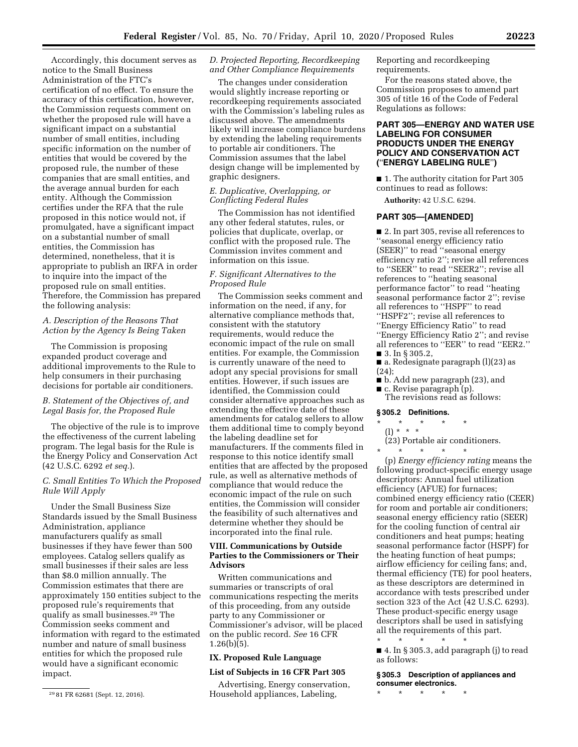Accordingly, this document serves as notice to the Small Business Administration of the FTC's certification of no effect. To ensure the accuracy of this certification, however, the Commission requests comment on whether the proposed rule will have a significant impact on a substantial number of small entities, including specific information on the number of entities that would be covered by the proposed rule, the number of these companies that are small entities, and the average annual burden for each entity. Although the Commission certifies under the RFA that the rule proposed in this notice would not, if promulgated, have a significant impact on a substantial number of small entities, the Commission has determined, nonetheless, that it is appropriate to publish an IRFA in order to inquire into the impact of the proposed rule on small entities. Therefore, the Commission has prepared the following analysis:

# *A. Description of the Reasons That Action by the Agency Is Being Taken*

The Commission is proposing expanded product coverage and additional improvements to the Rule to help consumers in their purchasing decisions for portable air conditioners.

## *B. Statement of the Objectives of, and Legal Basis for, the Proposed Rule*

The objective of the rule is to improve the effectiveness of the current labeling program. The legal basis for the Rule is the Energy Policy and Conservation Act (42 U.S.C. 6292 *et seq.*).

# *C. Small Entities To Which the Proposed Rule Will Apply*

Under the Small Business Size Standards issued by the Small Business Administration, appliance manufacturers qualify as small businesses if they have fewer than 500 employees. Catalog sellers qualify as small businesses if their sales are less than \$8.0 million annually. The Commission estimates that there are approximately 150 entities subject to the proposed rule's requirements that qualify as small businesses.29 The Commission seeks comment and information with regard to the estimated number and nature of small business entities for which the proposed rule would have a significant economic impact.

### *D. Projected Reporting, Recordkeeping and Other Compliance Requirements*

The changes under consideration would slightly increase reporting or recordkeeping requirements associated with the Commission's labeling rules as discussed above. The amendments likely will increase compliance burdens by extending the labeling requirements to portable air conditioners. The Commission assumes that the label design change will be implemented by graphic designers.

## *E. Duplicative, Overlapping, or Conflicting Federal Rules*

The Commission has not identified any other federal statutes, rules, or policies that duplicate, overlap, or conflict with the proposed rule. The Commission invites comment and information on this issue.

# *F. Significant Alternatives to the Proposed Rule*

The Commission seeks comment and information on the need, if any, for alternative compliance methods that, consistent with the statutory requirements, would reduce the economic impact of the rule on small entities. For example, the Commission is currently unaware of the need to adopt any special provisions for small entities. However, if such issues are identified, the Commission could consider alternative approaches such as extending the effective date of these amendments for catalog sellers to allow them additional time to comply beyond the labeling deadline set for manufacturers. If the comments filed in response to this notice identify small entities that are affected by the proposed rule, as well as alternative methods of compliance that would reduce the economic impact of the rule on such entities, the Commission will consider the feasibility of such alternatives and determine whether they should be incorporated into the final rule.

## **VIII. Communications by Outside Parties to the Commissioners or Their Advisors**

Written communications and summaries or transcripts of oral communications respecting the merits of this proceeding, from any outside party to any Commissioner or Commissioner's advisor, will be placed on the public record. *See* 16 CFR  $1.26(b)(5)$ .

## **IX. Proposed Rule Language**

# **List of Subjects in 16 CFR Part 305**

Advertising, Energy conservation, Household appliances, Labeling,

Reporting and recordkeeping requirements.

For the reasons stated above, the Commission proposes to amend part 305 of title 16 of the Code of Federal Regulations as follows:

# **PART 305—ENERGY AND WATER USE LABELING FOR CONSUMER PRODUCTS UNDER THE ENERGY POLICY AND CONSERVATION ACT (**''**ENERGY LABELING RULE**''**)**

■ 1. The authority citation for Part 305 continues to read as follows:

**Authority:** 42 U.S.C. 6294.

## **PART 305—[AMENDED]**

■ 2. In part 305, revise all references to ''seasonal energy efficiency ratio (SEER)'' to read ''seasonal energy efficiency ratio 2''; revise all references to ''SEER'' to read ''SEER2''; revise all references to ''heating seasonal performance factor'' to read ''heating seasonal performance factor 2''; revise all references to ''HSPF'' to read ''HSPF2''; revise all references to ''Energy Efficiency Ratio'' to read ''Energy Efficiency Ratio 2''; and revise all references to ''EER'' to read ''EER2.'' ■ 3. In § 305.2,

■ a. Redesignate paragraph (l)(23) as  $(24)$ :

■ b. Add new paragraph (23), and ■ c. Revise paragraph (p).

The revisions read as follows:

## **§ 305.2 Definitions.**

### \* \* \* \* \*

(l) \* \* \* (23) Portable air conditioners.

\* \* \* \* \*

(p) *Energy efficiency rating* means the following product-specific energy usage descriptors: Annual fuel utilization efficiency (AFUE) for furnaces; combined energy efficiency ratio (CEER) for room and portable air conditioners; seasonal energy efficiency ratio (SEER) for the cooling function of central air conditioners and heat pumps; heating seasonal performance factor (HSPF) for the heating function of heat pumps; airflow efficiency for ceiling fans; and, thermal efficiency (TE) for pool heaters, as these descriptors are determined in accordance with tests prescribed under section 323 of the Act (42 U.S.C. 6293). These product-specific energy usage descriptors shall be used in satisfying all the requirements of this part. \* \* \* \* \*

 $\blacksquare$  4. In § 305.3, add paragraph (j) to read as follows:

**§ 305.3 Description of appliances and consumer electronics.** 

\* \* \* \* \*

<sup>29</sup> 81 FR 62681 (Sept. 12, 2016).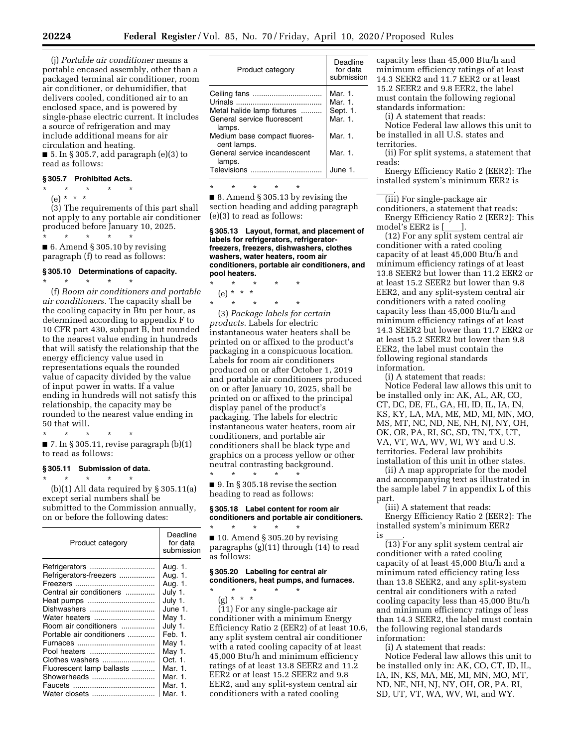(j) *Portable air conditioner* means a portable encased assembly, other than a packaged terminal air conditioner, room air conditioner, or dehumidifier, that delivers cooled, conditioned air to an enclosed space, and is powered by single-phase electric current. It includes a source of refrigeration and may include additional means for air circulation and heating.

 $\blacksquare$  5. In § 305.7, add paragraph (e)(3) to read as follows:

# **§ 305.7 Prohibited Acts.**

- \* \* \* \* \*
- (e) \* \* \*

(3) The requirements of this part shall not apply to any portable air conditioner produced before January 10, 2025.

\* \* \* \* \* ■ 6. Amend § 305.10 by revising paragraph (f) to read as follows:

### **§ 305.10 Determinations of capacity.**  \* \* \* \* \*

(f) *Room air conditioners and portable air conditioners.* The capacity shall be the cooling capacity in Btu per hour, as determined according to appendix F to 10 CFR part 430, subpart B, but rounded to the nearest value ending in hundreds that will satisfy the relationship that the energy efficiency value used in representations equals the rounded value of capacity divided by the value of input power in watts. If a value ending in hundreds will not satisfy this relationship, the capacity may be rounded to the nearest value ending in 50 that will.

\* \* \* \* \*  $\blacksquare$  7. In § 305.11, revise paragraph (b)(1)

to read as follows:

### **§ 305.11 Submission of data.**

\* \* \* \* \*  $(b)(1)$  All data required by § 305.11(a) except serial numbers shall be submitted to the Commission annually, on or before the following dates:

| Product category          | Deadline<br>for data<br>submission |
|---------------------------|------------------------------------|
| Refrigerators             | Aug. 1.                            |
| Refrigerators-freezers    | Aug. 1.                            |
|                           | Aug. 1.                            |
| Central air conditioners  | July 1.                            |
| Heat pumps                | July 1.                            |
| Dishwashers               | June 1.                            |
| Water heaters             | May 1.                             |
| Room air conditioners     | July 1.                            |
| Portable air conditioners | Feb. 1.                            |
|                           | May 1.                             |
|                           | May 1.                             |
| Clothes washers           | Oct. 1.                            |
| Fluorescent lamp ballasts | Mar. 1.                            |
| Showerheads               | Mar. 1.                            |
|                           | Mar. 1.                            |
| Water closets             | Mar. 1.                            |

| Product category                                                                    | Deadline<br>for data<br>submission        |
|-------------------------------------------------------------------------------------|-------------------------------------------|
| Ceiling fans<br>Metal halide lamp fixtures<br>General service fluorescent<br>lamps. | Mar. 1.<br>Mar. 1.<br>Sept. 1.<br>Mar. 1. |
| Medium base compact fluores-<br>cent lamps.                                         | Mar. 1.                                   |
| General service incandescent<br>lamps.                                              | Mar. 1.                                   |
| Televisions                                                                         | June 1.                                   |

\* \* \* \* \*

■ 8. Amend § 305.13 by revising the section heading and adding paragraph (e)(3) to read as follows:

**§ 305.13 Layout, format, and placement of labels for refrigerators, refrigeratorfreezers, freezers, dishwashers, clothes washers, water heaters, room air conditioners, portable air conditioners, and pool heaters.** 

\* \* \* \* \* (e) \* \* \* \* \* \* \* \*

(3) *Package labels for certain products.* Labels for electric instantaneous water heaters shall be printed on or affixed to the product's packaging in a conspicuous location. Labels for room air conditioners produced on or after October 1, 2019 and portable air conditioners produced on or after January 10, 2025, shall be printed on or affixed to the principal display panel of the product's packaging. The labels for electric instantaneous water heaters, room air conditioners, and portable air conditioners shall be black type and graphics on a process yellow or other neutral contrasting background.<br>\* \* \* \* \* \* \* \* \* \* \* \* \*

 $\blacksquare$  9. In § 305.18 revise the section heading to read as follows:

### **§ 305.18 Label content for room air conditioners and portable air conditioners.**

\* \* \* \* \*  $\blacksquare$  10. Amend § 305.20 by revising paragraphs (g)(11) through (14) to read as follows:

### **§ 305.20 Labeling for central air conditioners, heat pumps, and furnaces.**

- \* \* \* \* \*
	- (g) \* \* \*

(11) For any single-package air conditioner with a minimum Energy Efficiency Ratio 2 (EER2) of at least 10.6, any split system central air conditioner with a rated cooling capacity of at least 45,000 Btu/h and minimum efficiency ratings of at least 13.8 SEER2 and 11.2 EER2 or at least 15.2 SEER2 and 9.8 EER2, and any split-system central air conditioners with a rated cooling

capacity less than 45,000 Btu/h and minimum efficiency ratings of at least 14.3 SEER2 and 11.7 EER2 or at least 15.2 SEER2 and 9.8 EER2, the label must contain the following regional standards information:

(i) A statement that reads:

Notice Federal law allows this unit to be installed in all U.S. states and territories.

(ii) For split systems, a statement that reads:

Energy Efficiency Ratio 2 (EER2): The installed system's minimum EER2 is

\_\_\_\_\_\_.<br>(iii) For single-package air

conditioners, a statement that reads: Energy Efficiency Ratio 2 (EER2): This model's EER2 is [ ].

model's EER2 is [\_\_\_\_].<br>(12) For any split system central air conditioner with a rated cooling capacity of at least 45,000 Btu/h and minimum efficiency ratings of at least 13.8 SEER2 but lower than 11.2 EER2 or at least 15.2 SEER2 but lower than 9.8 EER2, and any split-system central air conditioners with a rated cooling capacity less than 45,000 Btu/h and minimum efficiency ratings of at least 14.3 SEER2 but lower than 11.7 EER2 or at least 15.2 SEER2 but lower than 9.8 EER2, the label must contain the following regional standards information.

(i) A statement that reads: Notice Federal law allows this unit to be installed only in: AK, AL, AR, CO, CT, DC, DE, FL, GA, HI, ID, IL, IA, IN, KS, KY, LA, MA, ME, MD, MI, MN, MO, MS, MT, NC, ND, NE, NH, NJ, NY, OH, OK, OR, PA, RI, SC, SD, TN, TX, UT, VA, VT, WA, WV, WI, WY and U.S. territories. Federal law prohibits installation of this unit in other states.

(ii) A map appropriate for the model and accompanying text as illustrated in the sample label 7 in appendix L of this part.

(iii) A statement that reads: Energy Efficiency Ratio 2 (EER2): The installed system's minimum EER2

is \_\_\_\_.<br>(13) For any split system central air conditioner with a rated cooling capacity of at least 45,000 Btu/h and a minimum rated efficiency rating less than 13.8 SEER2, and any split-system central air conditioners with a rated cooling capacity less than 45,000 Btu/h and minimum efficiency ratings of less than 14.3 SEER2, the label must contain the following regional standards information:

(i) A statement that reads: Notice Federal law allows this unit to be installed only in: AK, CO, CT, ID, IL, IA, IN, KS, MA, ME, MI, MN, MO, MT, ND, NE, NH, NJ, NY, OH, OR, PA, RI, SD, UT, VT, WA, WV, WI, and WY.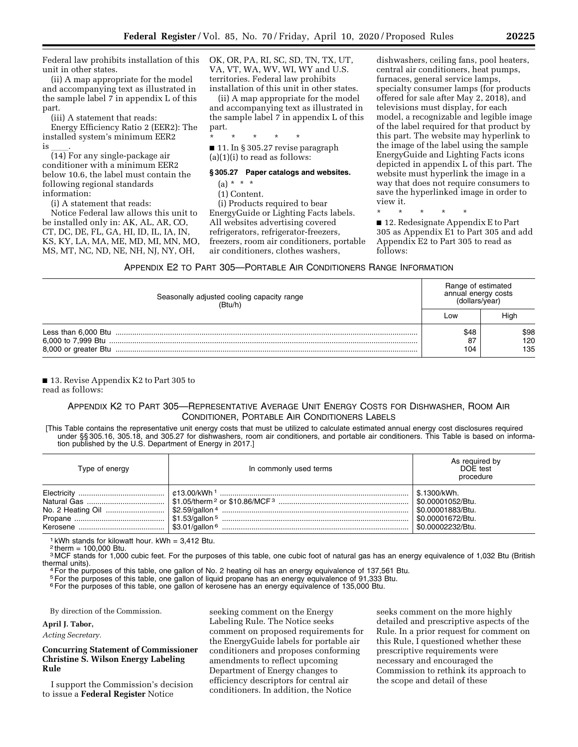Federal law prohibits installation of this unit in other states.

(ii) A map appropriate for the model and accompanying text as illustrated in the sample label 7 in appendix L of this part.

(iii) A statement that reads:

Energy Efficiency Ratio 2 (EER2): The installed system's minimum EER2

is \_\_\_\_.<br>(14) For any single-package air conditioner with a minimum EER2 below 10.6, the label must contain the following regional standards information:

(i) A statement that reads:

Notice Federal law allows this unit to be installed only in: AK, AL, AR, CO, CT, DC, DE, FL, GA, HI, ID, IL, IA, IN, KS, KY, LA, MA, ME, MD, MI, MN, MO, MS, MT, NC, ND, NE, NH, NJ, NY, OH,

OK, OR, PA, RI, SC, SD, TN, TX, UT, VA, VT, WA, WV, WI, WY and U.S. territories. Federal law prohibits installation of this unit in other states.

(ii) A map appropriate for the model and accompanying text as illustrated in the sample label 7 in appendix L of this part.

\* \* \* \* \* ■ 11. In § 305.27 revise paragraph (a)(1)(i) to read as follows:

#### **§ 305.27 Paper catalogs and websites.**

 $(a) * * * *$ 

(1) Content.

(i) Products required to bear EnergyGuide or Lighting Facts labels. All websites advertising covered refrigerators, refrigerator-freezers, freezers, room air conditioners, portable air conditioners, clothes washers,

dishwashers, ceiling fans, pool heaters, central air conditioners, heat pumps, furnaces, general service lamps, specialty consumer lamps (for products offered for sale after May 2, 2018), and televisions must display, for each model, a recognizable and legible image of the label required for that product by this part. The website may hyperlink to the image of the label using the sample EnergyGuide and Lighting Facts icons depicted in appendix L of this part. The website must hyperlink the image in a way that does not require consumers to save the hyperlinked image in order to view it.

\* \* \* \* \*

■ 12. Redesignate Appendix E to Part 305 as Appendix E1 to Part 305 and add Appendix E2 to Part 305 to read as follows:

#### APPENDIX E2 TO PART 305—PORTABLE AIR CONDITIONERS RANGE INFORMATION

| Seasonally adjusted cooling capacity range<br>(Btu/h) | Range of estimated<br>annual energy costs<br>(dollars/year) |                    |
|-------------------------------------------------------|-------------------------------------------------------------|--------------------|
|                                                       | Low                                                         | High               |
|                                                       | \$48<br>87<br>104                                           | \$98<br>120<br>135 |

■ 13. Revise Appendix K2 to Part 305 to read as follows:

# APPENDIX K2 TO PART 305—REPRESENTATIVE AVERAGE UNIT ENERGY COSTS FOR DISHWASHER, ROOM AIR CONDITIONER, PORTABLE AIR CONDITIONERS LABELS

[This Table contains the representative unit energy costs that must be utilized to calculate estimated annual energy cost disclosures required under §§ 305.16, 305.18, and 305.27 for dishwashers, room air conditioners, and portable air conditioners. This Table is based on information published by the U.S. Department of Energy in 2017.]

| Type of energy | In commonly used terms | As required by<br>DOE test<br>procedure                                                           |
|----------------|------------------------|---------------------------------------------------------------------------------------------------|
|                |                        | 5.1300/kWh.<br>  \$0.00001052/Btu.<br>\$0.00001883/Btu.<br>\$0.00001672/Btu.<br>\$0.00002232/Btu. |

 $1$  kWh stands for kilowatt hour. kWh = 3,412 Btu.

 $2$  therm = 100,000 Btu.

<sup>3</sup> MCF stands for 1,000 cubic feet. For the purposes of this table, one cubic foot of natural gas has an energy equivalence of 1,032 Btu (British thermal units).

 $4$  For the purposes of this table, one gallon of No. 2 heating oil has an energy equivalence of 137,561 Btu.

5For the purposes of this table, one gallon of liquid propane has an energy equivalence of 91,333 Btu.

<sup>6</sup> For the purposes of this table, one gallon of kerosene has an energy equivalence of 135,000 Btu.

By direction of the Commission.

**April J. Tabor,** 

*Acting Secretary.* 

# **Concurring Statement of Commissioner Christine S. Wilson Energy Labeling Rule**

I support the Commission's decision to issue a **Federal Register** Notice

seeking comment on the Energy Labeling Rule. The Notice seeks comment on proposed requirements for the EnergyGuide labels for portable air conditioners and proposes conforming amendments to reflect upcoming Department of Energy changes to efficiency descriptors for central air conditioners. In addition, the Notice

seeks comment on the more highly detailed and prescriptive aspects of the Rule. In a prior request for comment on this Rule, I questioned whether these prescriptive requirements were necessary and encouraged the Commission to rethink its approach to the scope and detail of these